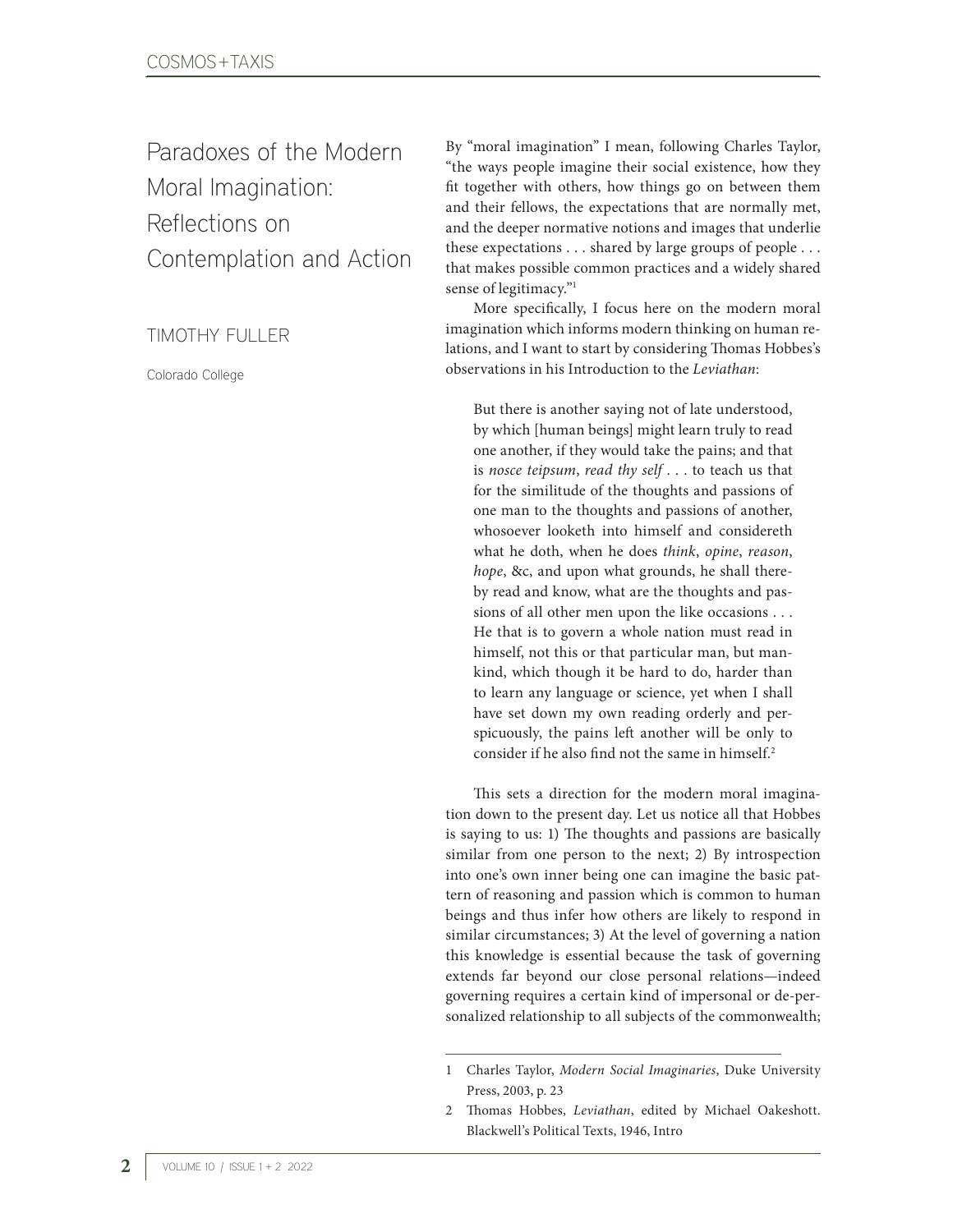Paradoxes of the Modern Moral Imagination: Reflections on Contemplation and Action

TIMOTHY FULLER

Colorado College

By "moral imagination" I mean, following Charles Taylor, "the ways people imagine their social existence, how they fit together with others, how things go on between them and their fellows, the expectations that are normally met, and the deeper normative notions and images that underlie these expectations . . . shared by large groups of people . . . that makes possible common practices and a widely shared sense of legitimacy."1

More specifically, I focus here on the modern moral imagination which informs modern thinking on human relations, and I want to start by considering Thomas Hobbes's observations in his Introduction to the *Leviathan*:

But there is another saying not of late understood, by which [human beings] might learn truly to read one another, if they would take the pains; and that is *nosce teipsum*, *read thy self* . . . to teach us that for the similitude of the thoughts and passions of one man to the thoughts and passions of another, whosoever looketh into himself and considereth what he doth, when he does *think*, *opine*, *reason*, *hope*, &c, and upon what grounds, he shall thereby read and know, what are the thoughts and passions of all other men upon the like occasions . . . He that is to govern a whole nation must read in himself, not this or that particular man, but mankind, which though it be hard to do, harder than to learn any language or science, yet when I shall have set down my own reading orderly and perspicuously, the pains left another will be only to consider if he also find not the same in himself.2

This sets a direction for the modern moral imagination down to the present day. Let us notice all that Hobbes is saying to us: 1) The thoughts and passions are basically similar from one person to the next; 2) By introspection into one's own inner being one can imagine the basic pattern of reasoning and passion which is common to human beings and thus infer how others are likely to respond in similar circumstances; 3) At the level of governing a nation this knowledge is essential because the task of governing extends far beyond our close personal relations—indeed governing requires a certain kind of impersonal or de-personalized relationship to all subjects of the commonwealth;

<sup>1</sup> Charles Taylor, *Modern Social Imaginaries*, Duke University Press, 2003, p. 23

<sup>2</sup> Thomas Hobbes, *Leviathan*, edited by Michael Oakeshott. Blackwell's Political Texts, 1946, Intro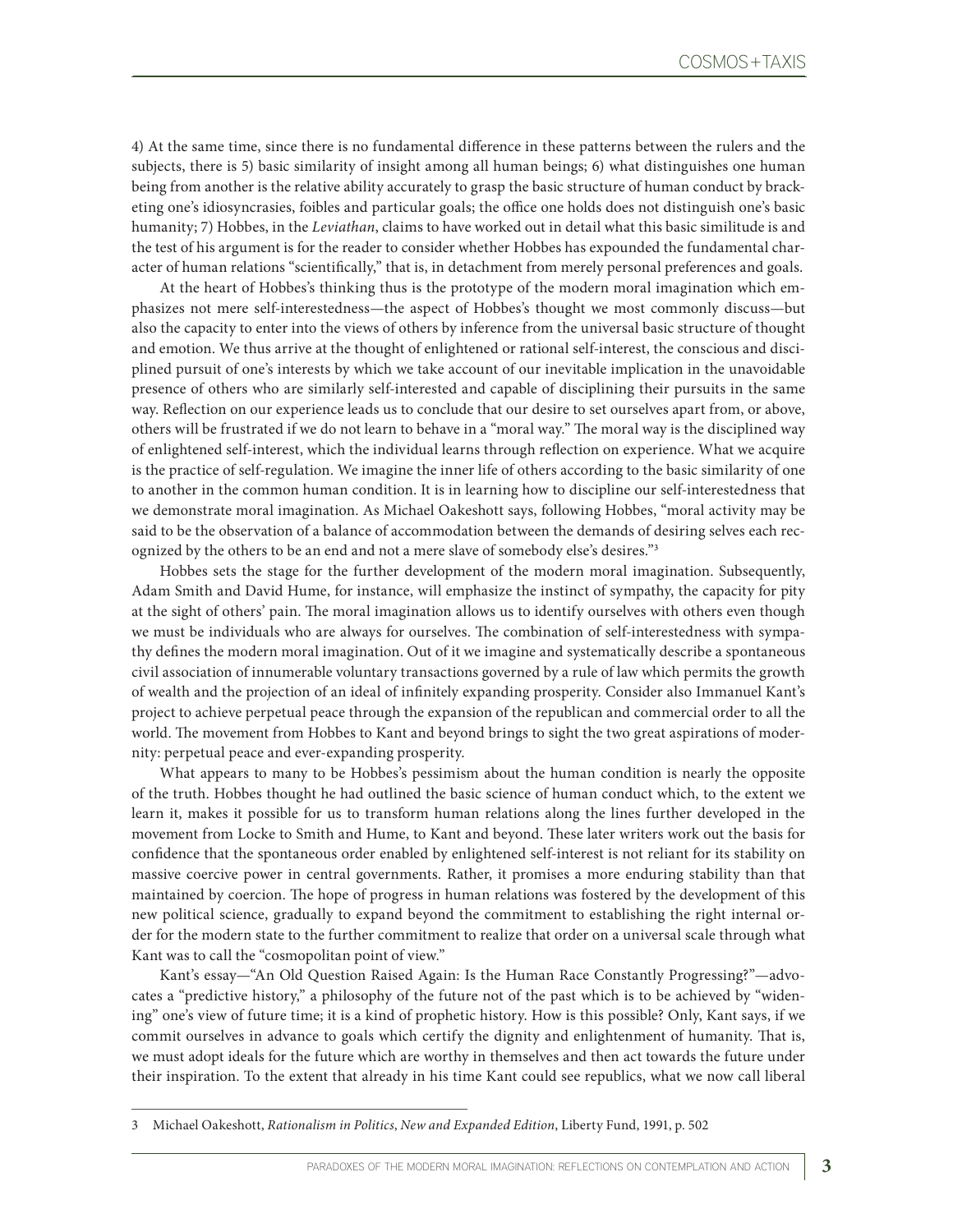4) At the same time, since there is no fundamental difference in these patterns between the rulers and the subjects, there is 5) basic similarity of insight among all human beings; 6) what distinguishes one human being from another is the relative ability accurately to grasp the basic structure of human conduct by bracketing one's idiosyncrasies, foibles and particular goals; the office one holds does not distinguish one's basic humanity; 7) Hobbes, in the *Leviathan*, claims to have worked out in detail what this basic similitude is and the test of his argument is for the reader to consider whether Hobbes has expounded the fundamental character of human relations "scientifically," that is, in detachment from merely personal preferences and goals.

At the heart of Hobbes's thinking thus is the prototype of the modern moral imagination which emphasizes not mere self-interestedness—the aspect of Hobbes's thought we most commonly discuss—but also the capacity to enter into the views of others by inference from the universal basic structure of thought and emotion. We thus arrive at the thought of enlightened or rational self-interest, the conscious and disciplined pursuit of one's interests by which we take account of our inevitable implication in the unavoidable presence of others who are similarly self-interested and capable of disciplining their pursuits in the same way. Reflection on our experience leads us to conclude that our desire to set ourselves apart from, or above, others will be frustrated if we do not learn to behave in a "moral way." The moral way is the disciplined way of enlightened self-interest, which the individual learns through reflection on experience. What we acquire is the practice of self-regulation. We imagine the inner life of others according to the basic similarity of one to another in the common human condition. It is in learning how to discipline our self-interestedness that we demonstrate moral imagination. As Michael Oakeshott says, following Hobbes, "moral activity may be said to be the observation of a balance of accommodation between the demands of desiring selves each recognized by the others to be an end and not a mere slave of somebody else's desires."3

Hobbes sets the stage for the further development of the modern moral imagination. Subsequently, Adam Smith and David Hume, for instance, will emphasize the instinct of sympathy, the capacity for pity at the sight of others' pain. The moral imagination allows us to identify ourselves with others even though we must be individuals who are always for ourselves. The combination of self-interestedness with sympathy defines the modern moral imagination. Out of it we imagine and systematically describe a spontaneous civil association of innumerable voluntary transactions governed by a rule of law which permits the growth of wealth and the projection of an ideal of infinitely expanding prosperity. Consider also Immanuel Kant's project to achieve perpetual peace through the expansion of the republican and commercial order to all the world. The movement from Hobbes to Kant and beyond brings to sight the two great aspirations of modernity: perpetual peace and ever-expanding prosperity.

What appears to many to be Hobbes's pessimism about the human condition is nearly the opposite of the truth. Hobbes thought he had outlined the basic science of human conduct which, to the extent we learn it, makes it possible for us to transform human relations along the lines further developed in the movement from Locke to Smith and Hume, to Kant and beyond. These later writers work out the basis for confidence that the spontaneous order enabled by enlightened self-interest is not reliant for its stability on massive coercive power in central governments. Rather, it promises a more enduring stability than that maintained by coercion. The hope of progress in human relations was fostered by the development of this new political science, gradually to expand beyond the commitment to establishing the right internal order for the modern state to the further commitment to realize that order on a universal scale through what Kant was to call the "cosmopolitan point of view."

Kant's essay—"An Old Question Raised Again: Is the Human Race Constantly Progressing?"—advocates a "predictive history," a philosophy of the future not of the past which is to be achieved by "widening" one's view of future time; it is a kind of prophetic history. How is this possible? Only, Kant says, if we commit ourselves in advance to goals which certify the dignity and enlightenment of humanity. That is, we must adopt ideals for the future which are worthy in themselves and then act towards the future under their inspiration. To the extent that already in his time Kant could see republics, what we now call liberal

<sup>3</sup> Michael Oakeshott, *Rationalism in Politics*, *New and Expanded Edition*, Liberty Fund, 1991, p. 502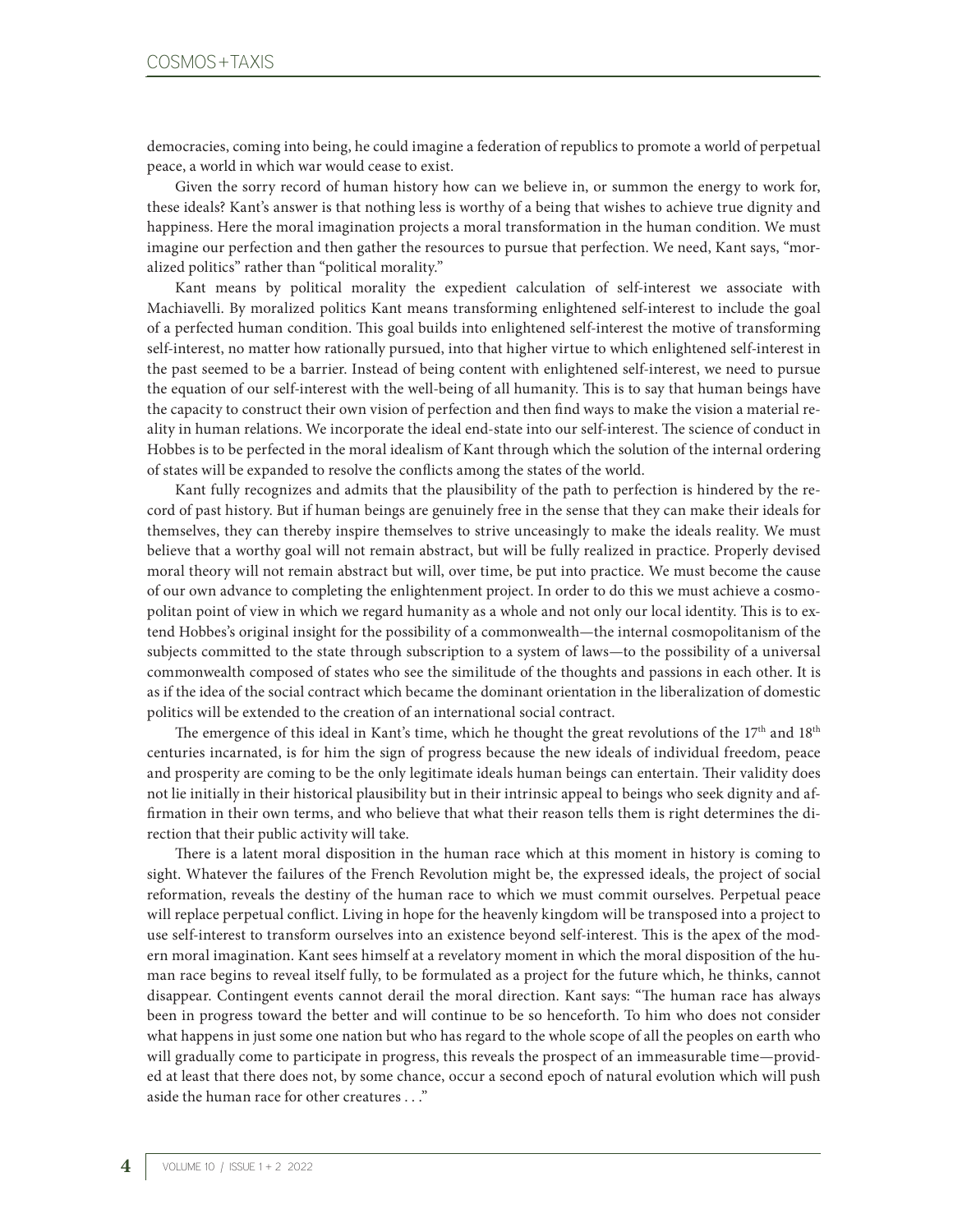democracies, coming into being, he could imagine a federation of republics to promote a world of perpetual peace, a world in which war would cease to exist.

Given the sorry record of human history how can we believe in, or summon the energy to work for, these ideals? Kant's answer is that nothing less is worthy of a being that wishes to achieve true dignity and happiness. Here the moral imagination projects a moral transformation in the human condition. We must imagine our perfection and then gather the resources to pursue that perfection. We need, Kant says, "moralized politics" rather than "political morality."

Kant means by political morality the expedient calculation of self-interest we associate with Machiavelli. By moralized politics Kant means transforming enlightened self-interest to include the goal of a perfected human condition. This goal builds into enlightened self-interest the motive of transforming self-interest, no matter how rationally pursued, into that higher virtue to which enlightened self-interest in the past seemed to be a barrier. Instead of being content with enlightened self-interest, we need to pursue the equation of our self-interest with the well-being of all humanity. This is to say that human beings have the capacity to construct their own vision of perfection and then find ways to make the vision a material reality in human relations. We incorporate the ideal end-state into our self-interest. The science of conduct in Hobbes is to be perfected in the moral idealism of Kant through which the solution of the internal ordering of states will be expanded to resolve the conflicts among the states of the world.

Kant fully recognizes and admits that the plausibility of the path to perfection is hindered by the record of past history. But if human beings are genuinely free in the sense that they can make their ideals for themselves, they can thereby inspire themselves to strive unceasingly to make the ideals reality. We must believe that a worthy goal will not remain abstract, but will be fully realized in practice. Properly devised moral theory will not remain abstract but will, over time, be put into practice. We must become the cause of our own advance to completing the enlightenment project. In order to do this we must achieve a cosmopolitan point of view in which we regard humanity as a whole and not only our local identity. This is to extend Hobbes's original insight for the possibility of a commonwealth—the internal cosmopolitanism of the subjects committed to the state through subscription to a system of laws—to the possibility of a universal commonwealth composed of states who see the similitude of the thoughts and passions in each other. It is as if the idea of the social contract which became the dominant orientation in the liberalization of domestic politics will be extended to the creation of an international social contract.

The emergence of this ideal in Kant's time, which he thought the great revolutions of the 17<sup>th</sup> and 18<sup>th</sup> centuries incarnated, is for him the sign of progress because the new ideals of individual freedom, peace and prosperity are coming to be the only legitimate ideals human beings can entertain. Their validity does not lie initially in their historical plausibility but in their intrinsic appeal to beings who seek dignity and affirmation in their own terms, and who believe that what their reason tells them is right determines the direction that their public activity will take.

There is a latent moral disposition in the human race which at this moment in history is coming to sight. Whatever the failures of the French Revolution might be, the expressed ideals, the project of social reformation, reveals the destiny of the human race to which we must commit ourselves. Perpetual peace will replace perpetual conflict. Living in hope for the heavenly kingdom will be transposed into a project to use self-interest to transform ourselves into an existence beyond self-interest. This is the apex of the modern moral imagination. Kant sees himself at a revelatory moment in which the moral disposition of the human race begins to reveal itself fully, to be formulated as a project for the future which, he thinks, cannot disappear. Contingent events cannot derail the moral direction. Kant says: "The human race has always been in progress toward the better and will continue to be so henceforth. To him who does not consider what happens in just some one nation but who has regard to the whole scope of all the peoples on earth who will gradually come to participate in progress, this reveals the prospect of an immeasurable time—provided at least that there does not, by some chance, occur a second epoch of natural evolution which will push aside the human race for other creatures . . ."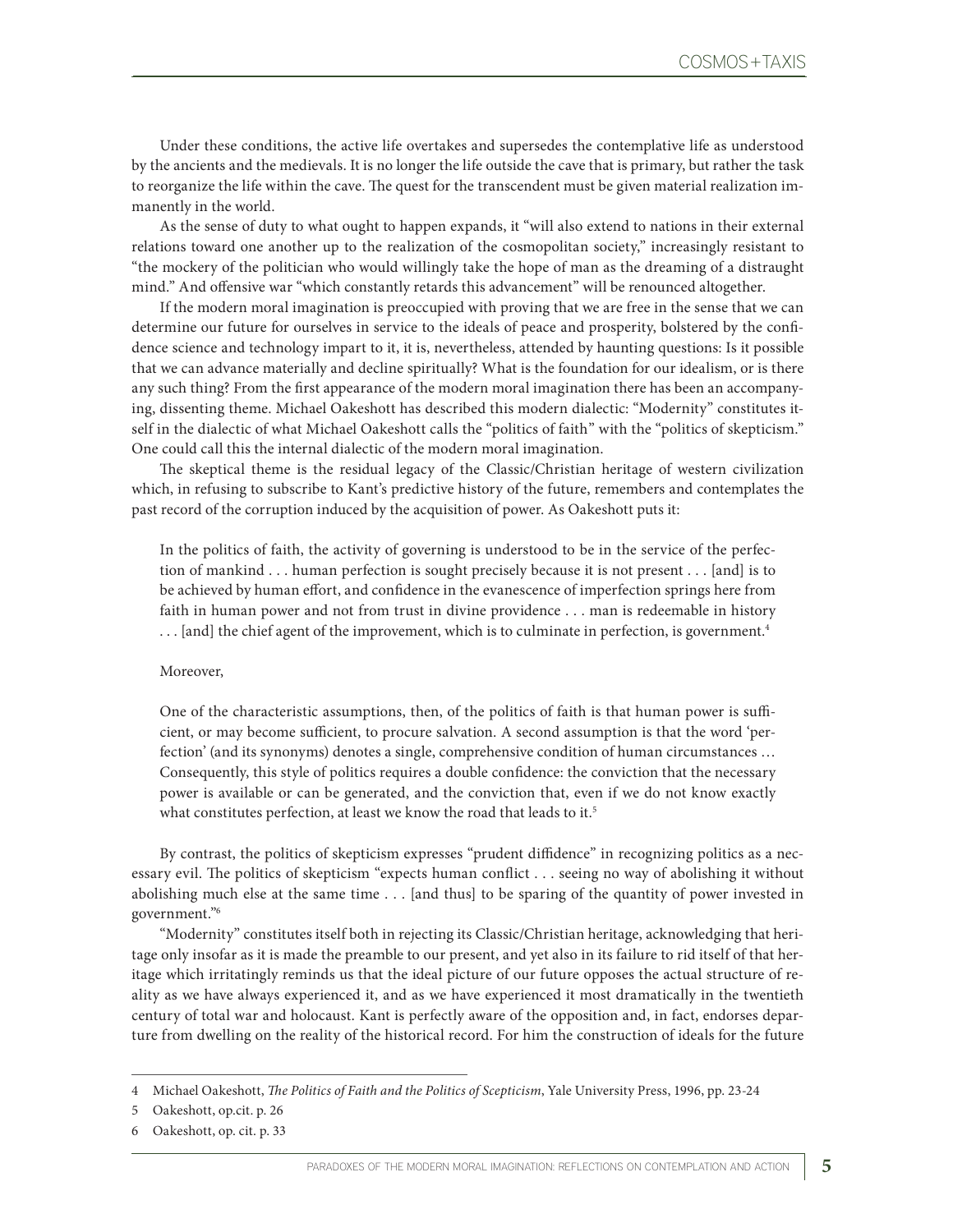Under these conditions, the active life overtakes and supersedes the contemplative life as understood by the ancients and the medievals. It is no longer the life outside the cave that is primary, but rather the task to reorganize the life within the cave. The quest for the transcendent must be given material realization immanently in the world.

As the sense of duty to what ought to happen expands, it "will also extend to nations in their external relations toward one another up to the realization of the cosmopolitan society," increasingly resistant to "the mockery of the politician who would willingly take the hope of man as the dreaming of a distraught mind." And offensive war "which constantly retards this advancement" will be renounced altogether.

If the modern moral imagination is preoccupied with proving that we are free in the sense that we can determine our future for ourselves in service to the ideals of peace and prosperity, bolstered by the confidence science and technology impart to it, it is, nevertheless, attended by haunting questions: Is it possible that we can advance materially and decline spiritually? What is the foundation for our idealism, or is there any such thing? From the first appearance of the modern moral imagination there has been an accompanying, dissenting theme. Michael Oakeshott has described this modern dialectic: "Modernity" constitutes itself in the dialectic of what Michael Oakeshott calls the "politics of faith" with the "politics of skepticism." One could call this the internal dialectic of the modern moral imagination.

The skeptical theme is the residual legacy of the Classic/Christian heritage of western civilization which, in refusing to subscribe to Kant's predictive history of the future, remembers and contemplates the past record of the corruption induced by the acquisition of power. As Oakeshott puts it:

In the politics of faith, the activity of governing is understood to be in the service of the perfection of mankind . . . human perfection is sought precisely because it is not present . . . [and] is to be achieved by human effort, and confidence in the evanescence of imperfection springs here from faith in human power and not from trust in divine providence . . . man is redeemable in history ... [and] the chief agent of the improvement, which is to culminate in perfection, is government.<sup>4</sup>

## Moreover,

One of the characteristic assumptions, then, of the politics of faith is that human power is sufficient, or may become sufficient, to procure salvation. A second assumption is that the word 'perfection' (and its synonyms) denotes a single, comprehensive condition of human circumstances … Consequently, this style of politics requires a double confidence: the conviction that the necessary power is available or can be generated, and the conviction that, even if we do not know exactly what constitutes perfection, at least we know the road that leads to it.<sup>5</sup>

By contrast, the politics of skepticism expresses "prudent diffidence" in recognizing politics as a necessary evil. The politics of skepticism "expects human conflict . . . seeing no way of abolishing it without abolishing much else at the same time . . . [and thus] to be sparing of the quantity of power invested in government."6

"Modernity" constitutes itself both in rejecting its Classic/Christian heritage, acknowledging that heritage only insofar as it is made the preamble to our present, and yet also in its failure to rid itself of that heritage which irritatingly reminds us that the ideal picture of our future opposes the actual structure of reality as we have always experienced it, and as we have experienced it most dramatically in the twentieth century of total war and holocaust. Kant is perfectly aware of the opposition and, in fact, endorses departure from dwelling on the reality of the historical record. For him the construction of ideals for the future

<sup>4</sup> Michael Oakeshott, *The Politics of Faith and the Politics of Scepticism*, Yale University Press, 1996, pp. 23-24

<sup>5</sup> Oakeshott, op.cit. p. 26

<sup>6</sup> Oakeshott, op. cit. p. 33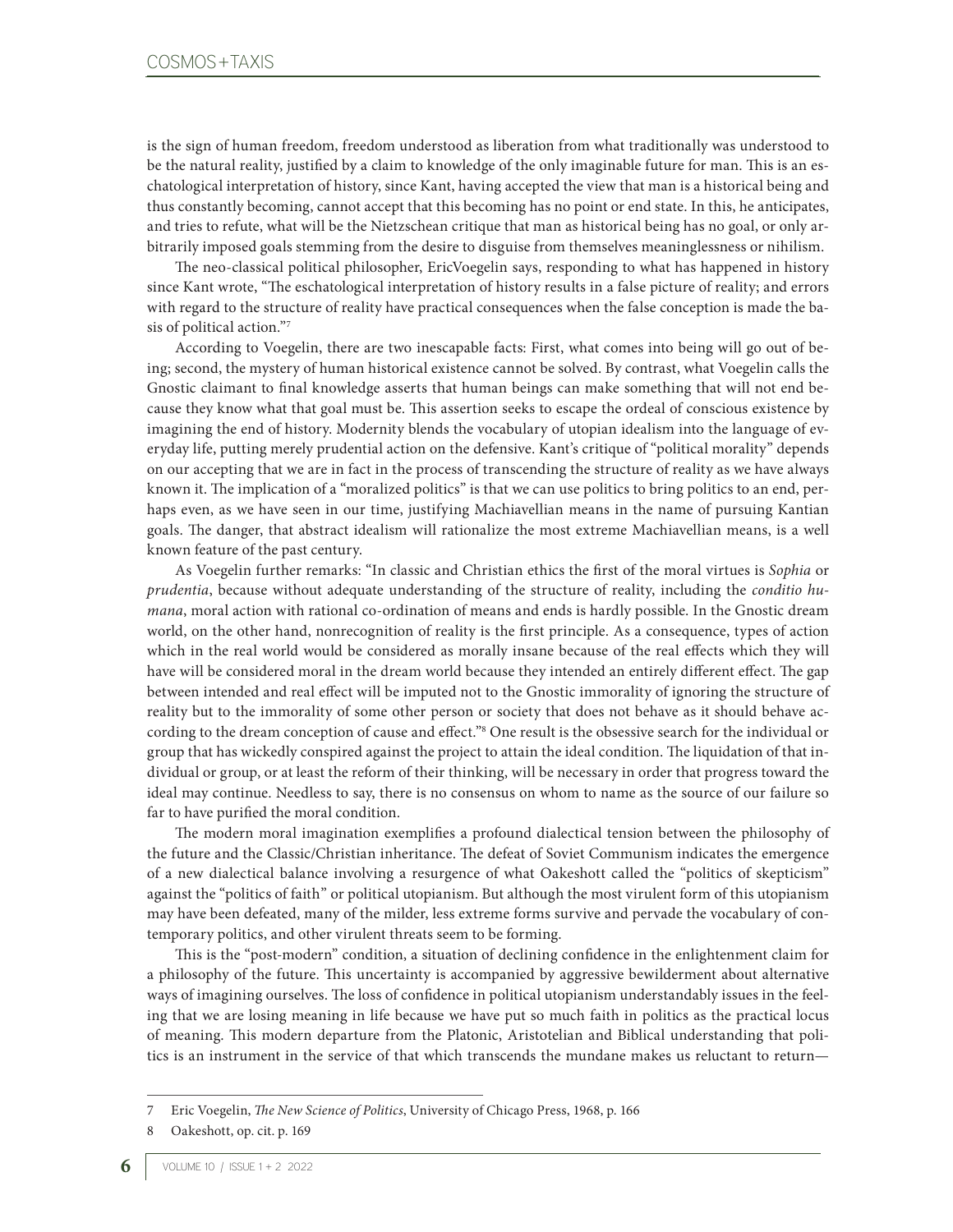is the sign of human freedom, freedom understood as liberation from what traditionally was understood to be the natural reality, justified by a claim to knowledge of the only imaginable future for man. This is an eschatological interpretation of history, since Kant, having accepted the view that man is a historical being and thus constantly becoming, cannot accept that this becoming has no point or end state. In this, he anticipates, and tries to refute, what will be the Nietzschean critique that man as historical being has no goal, or only arbitrarily imposed goals stemming from the desire to disguise from themselves meaninglessness or nihilism.

The neo-classical political philosopher, EricVoegelin says, responding to what has happened in history since Kant wrote, "The eschatological interpretation of history results in a false picture of reality; and errors with regard to the structure of reality have practical consequences when the false conception is made the basis of political action."7

According to Voegelin, there are two inescapable facts: First, what comes into being will go out of being; second, the mystery of human historical existence cannot be solved. By contrast, what Voegelin calls the Gnostic claimant to final knowledge asserts that human beings can make something that will not end because they know what that goal must be. This assertion seeks to escape the ordeal of conscious existence by imagining the end of history. Modernity blends the vocabulary of utopian idealism into the language of everyday life, putting merely prudential action on the defensive. Kant's critique of "political morality" depends on our accepting that we are in fact in the process of transcending the structure of reality as we have always known it. The implication of a "moralized politics" is that we can use politics to bring politics to an end, perhaps even, as we have seen in our time, justifying Machiavellian means in the name of pursuing Kantian goals. The danger, that abstract idealism will rationalize the most extreme Machiavellian means, is a well known feature of the past century.

As Voegelin further remarks: "In classic and Christian ethics the first of the moral virtues is *Sophia* or *prudentia*, because without adequate understanding of the structure of reality, including the *conditio humana*, moral action with rational co-ordination of means and ends is hardly possible. In the Gnostic dream world, on the other hand, nonrecognition of reality is the first principle. As a consequence, types of action which in the real world would be considered as morally insane because of the real effects which they will have will be considered moral in the dream world because they intended an entirely different effect. The gap between intended and real effect will be imputed not to the Gnostic immorality of ignoring the structure of reality but to the immorality of some other person or society that does not behave as it should behave according to the dream conception of cause and effect."8 One result is the obsessive search for the individual or group that has wickedly conspired against the project to attain the ideal condition. The liquidation of that individual or group, or at least the reform of their thinking, will be necessary in order that progress toward the ideal may continue. Needless to say, there is no consensus on whom to name as the source of our failure so far to have purified the moral condition.

The modern moral imagination exemplifies a profound dialectical tension between the philosophy of the future and the Classic/Christian inheritance. The defeat of Soviet Communism indicates the emergence of a new dialectical balance involving a resurgence of what Oakeshott called the "politics of skepticism" against the "politics of faith" or political utopianism. But although the most virulent form of this utopianism may have been defeated, many of the milder, less extreme forms survive and pervade the vocabulary of contemporary politics, and other virulent threats seem to be forming.

This is the "post-modern" condition, a situation of declining confidence in the enlightenment claim for a philosophy of the future. This uncertainty is accompanied by aggressive bewilderment about alternative ways of imagining ourselves. The loss of confidence in political utopianism understandably issues in the feeling that we are losing meaning in life because we have put so much faith in politics as the practical locus of meaning. This modern departure from the Platonic, Aristotelian and Biblical understanding that politics is an instrument in the service of that which transcends the mundane makes us reluctant to return—

<sup>7</sup> Eric Voegelin, *The New Science of Politics*, University of Chicago Press, 1968, p. 166

<sup>8</sup> Oakeshott, op. cit. p. 169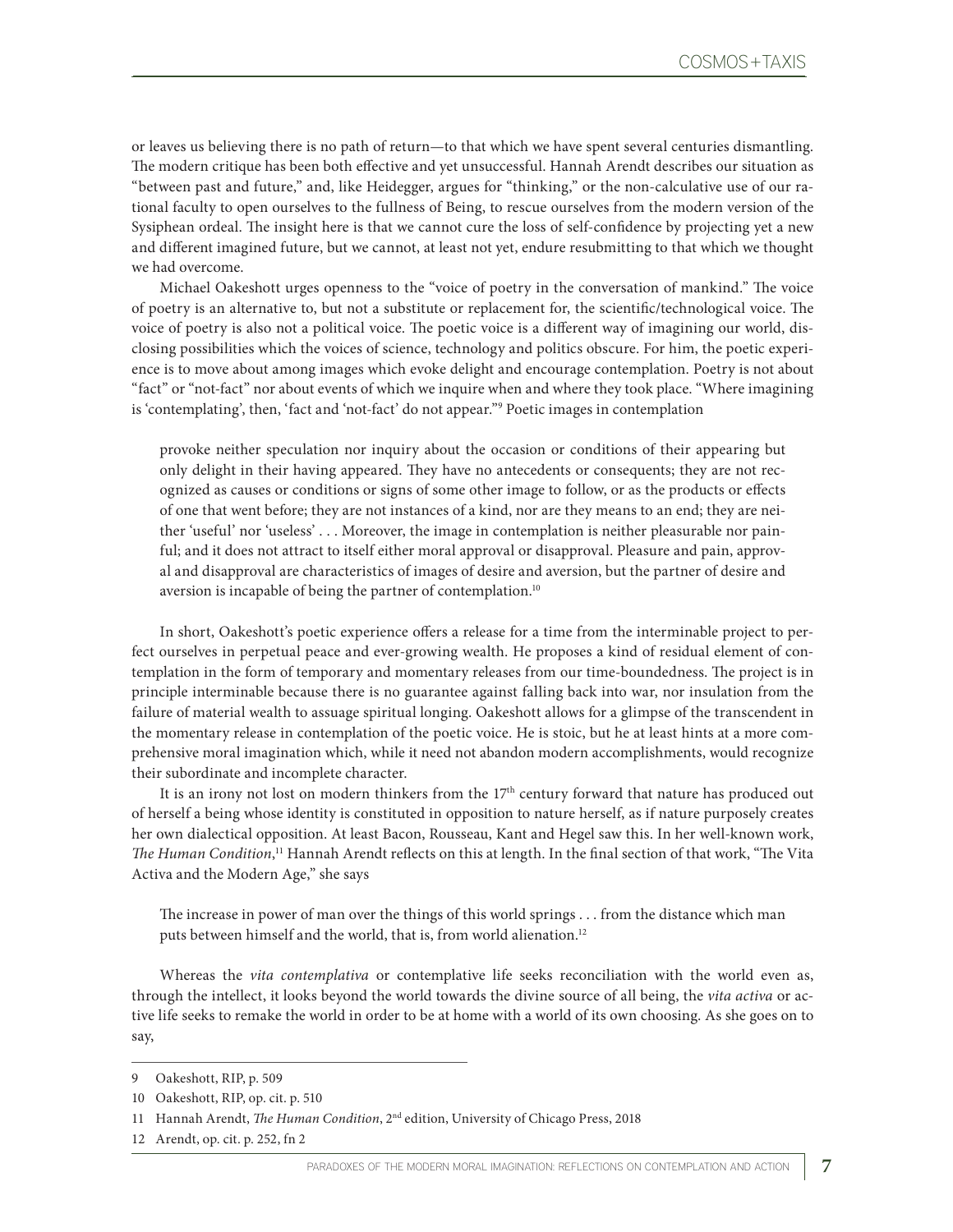or leaves us believing there is no path of return—to that which we have spent several centuries dismantling. The modern critique has been both effective and yet unsuccessful. Hannah Arendt describes our situation as "between past and future," and, like Heidegger, argues for "thinking," or the non-calculative use of our rational faculty to open ourselves to the fullness of Being, to rescue ourselves from the modern version of the Sysiphean ordeal. The insight here is that we cannot cure the loss of self-confidence by projecting yet a new and different imagined future, but we cannot, at least not yet, endure resubmitting to that which we thought we had overcome.

Michael Oakeshott urges openness to the "voice of poetry in the conversation of mankind." The voice of poetry is an alternative to, but not a substitute or replacement for, the scientific/technological voice. The voice of poetry is also not a political voice. The poetic voice is a different way of imagining our world, disclosing possibilities which the voices of science, technology and politics obscure. For him, the poetic experience is to move about among images which evoke delight and encourage contemplation. Poetry is not about "fact" or "not-fact" nor about events of which we inquire when and where they took place. "Where imagining is 'contemplating', then, 'fact and 'not-fact' do not appear."9 Poetic images in contemplation

provoke neither speculation nor inquiry about the occasion or conditions of their appearing but only delight in their having appeared. They have no antecedents or consequents; they are not recognized as causes or conditions or signs of some other image to follow, or as the products or effects of one that went before; they are not instances of a kind, nor are they means to an end; they are neither 'useful' nor 'useless' . . . Moreover, the image in contemplation is neither pleasurable nor painful; and it does not attract to itself either moral approval or disapproval. Pleasure and pain, approval and disapproval are characteristics of images of desire and aversion, but the partner of desire and aversion is incapable of being the partner of contemplation.<sup>10</sup>

In short, Oakeshott's poetic experience offers a release for a time from the interminable project to perfect ourselves in perpetual peace and ever-growing wealth. He proposes a kind of residual element of contemplation in the form of temporary and momentary releases from our time-boundedness. The project is in principle interminable because there is no guarantee against falling back into war, nor insulation from the failure of material wealth to assuage spiritual longing. Oakeshott allows for a glimpse of the transcendent in the momentary release in contemplation of the poetic voice. He is stoic, but he at least hints at a more comprehensive moral imagination which, while it need not abandon modern accomplishments, would recognize their subordinate and incomplete character.

It is an irony not lost on modern thinkers from the  $17<sup>th</sup>$  century forward that nature has produced out of herself a being whose identity is constituted in opposition to nature herself, as if nature purposely creates her own dialectical opposition. At least Bacon, Rousseau, Kant and Hegel saw this. In her well-known work, *The Human Condition*, 11 Hannah Arendt reflects on this at length. In the final section of that work, "The Vita Activa and the Modern Age," she says

The increase in power of man over the things of this world springs . . . from the distance which man puts between himself and the world, that is, from world alienation.12

Whereas the *vita contemplativa* or contemplative life seeks reconciliation with the world even as, through the intellect, it looks beyond the world towards the divine source of all being, the *vita activa* or active life seeks to remake the world in order to be at home with a world of its own choosing. As she goes on to say,

<sup>9</sup> Oakeshott, RIP, p. 509

<sup>10</sup> Oakeshott, RIP, op. cit. p. 510

<sup>11</sup> Hannah Arendt, *The Human Condition*, 2nd edition, University of Chicago Press, 2018

<sup>12</sup> Arendt, op. cit. p. 252, fn 2